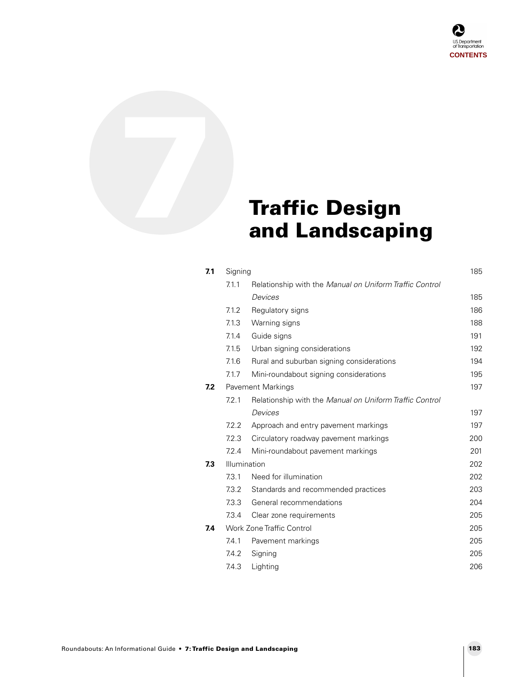# **Traffic Design<br>
Traffic Design<br>
and Landscapi and Landscaping**

| 7.1 | Signing                          |                                                         |     |
|-----|----------------------------------|---------------------------------------------------------|-----|
|     | 7.1.1                            | Relationship with the Manual on Uniform Traffic Control |     |
|     |                                  | Devices                                                 | 185 |
|     | 7.1.2                            | Regulatory signs                                        | 186 |
|     | 7.1.3                            | Warning signs                                           | 188 |
|     | 7.1.4                            | Guide signs                                             | 191 |
|     | 7.1.5                            | Urban signing considerations                            | 192 |
|     | 7.1.6                            | Rural and suburban signing considerations               | 194 |
|     | 7.1.7                            | Mini-roundabout signing considerations                  | 195 |
| 7.2 | Pavement Markings                |                                                         | 197 |
|     | 7.2.1                            | Relationship with the Manual on Uniform Traffic Control |     |
|     |                                  | Devices                                                 | 197 |
|     | 7.2.2                            | Approach and entry pavement markings                    | 197 |
|     | 7.2.3                            | Circulatory roadway pavement markings                   | 200 |
|     | 7.2.4                            | Mini-roundabout pavement markings                       | 201 |
| 7.3 | Illumination                     |                                                         | 202 |
|     | 7.3.1                            | Need for illumination                                   | 202 |
|     | 7.3.2                            | Standards and recommended practices                     | 203 |
|     | 7.3.3                            | General recommendations                                 | 204 |
|     | 7.3.4                            | Clear zone requirements                                 | 205 |
| 7.4 | <b>Work Zone Traffic Control</b> |                                                         | 205 |
|     | 7.4.1                            | Pavement markings                                       | 205 |
|     | 7.4.2                            | Signing                                                 | 205 |
|     | 7.4.3                            | Lighting                                                | 206 |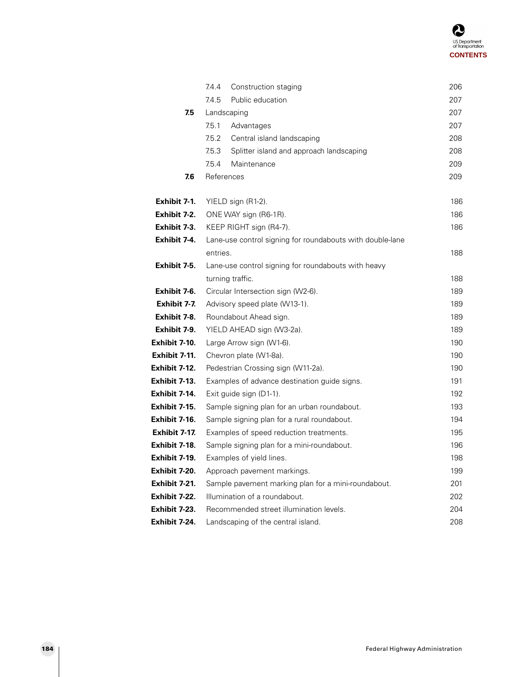|               | 7.4.4<br>Construction staging                             | 206 |  |
|---------------|-----------------------------------------------------------|-----|--|
|               | Public education<br>7.4.5                                 | 207 |  |
| 7.5           | Landscaping                                               | 207 |  |
|               | 7.5.1<br>Advantages                                       | 207 |  |
|               | 7.5.2<br>Central island landscaping                       | 208 |  |
|               | 75.3<br>Splitter island and approach landscaping          | 208 |  |
|               | 7.5.4<br>Maintenance                                      | 209 |  |
| 7.6           | References                                                | 209 |  |
| Exhibit 7-1.  | YIELD sign (R1-2).                                        | 186 |  |
| Exhibit 7-2.  | ONE WAY sign (R6-1R).                                     |     |  |
| Exhibit 7-3.  | KEEP RIGHT sign (R4-7).                                   |     |  |
| Exhibit 7-4.  | Lane-use control signing for roundabouts with double-lane |     |  |
|               | entries.                                                  | 188 |  |
| Exhibit 7-5.  | Lane-use control signing for roundabouts with heavy       |     |  |
|               | turning traffic.                                          | 188 |  |
| Exhibit 7-6.  | Circular Intersection sign (W2-6).                        | 189 |  |
| Exhibit 7-7.  | Advisory speed plate (W13-1).                             | 189 |  |
| Exhibit 7-8.  | Roundabout Ahead sign.                                    | 189 |  |
| Exhibit 7-9.  | YIELD AHEAD sign (W3-2a).                                 | 189 |  |
| Exhibit 7-10. | Large Arrow sign (W1-6).                                  | 190 |  |
| Exhibit 7-11. | Chevron plate (W1-8a).                                    | 190 |  |
| Exhibit 7-12. | Pedestrian Crossing sign (W11-2a).                        | 190 |  |
| Exhibit 7-13. | Examples of advance destination guide signs.              | 191 |  |
| Exhibit 7-14. | Exit guide sign (D1-1).                                   | 192 |  |
| Exhibit 7-15. | Sample signing plan for an urban roundabout.              | 193 |  |
| Exhibit 7-16. | Sample signing plan for a rural roundabout.               | 194 |  |
| Exhibit 7-17. | Examples of speed reduction treatments.                   | 195 |  |
| Exhibit 7-18. | Sample signing plan for a mini-roundabout.                | 196 |  |
| Exhibit 7-19. | Examples of yield lines.                                  | 198 |  |
| Exhibit 7-20. | Approach pavement markings.                               | 199 |  |
| Exhibit 7-21. | Sample pavement marking plan for a mini-roundabout.       | 201 |  |
| Exhibit 7-22. | Illumination of a roundabout.                             | 202 |  |
| Exhibit 7-23. | Recommended street illumination levels.                   | 204 |  |
| Exhibit 7-24. | Landscaping of the central island.                        | 208 |  |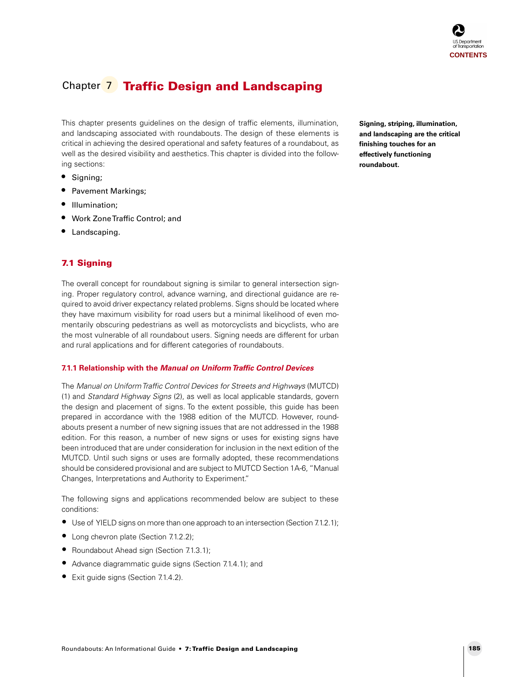# Chapter 7 **Traffic Design and Landscaping**

This chapter presents guidelines on the design of traffic elements, illumination, and landscaping associated with roundabouts. The design of these elements is critical in achieving the desired operational and safety features of a roundabout, as well as the desired visibility and aesthetics. This chapter is divided into the following sections:

- Signing;
- Pavement Markings;
- Illumination;
- Work Zone Traffic Control; and
- Landscaping.

# **7.1 Signing**

The overall concept for roundabout signing is similar to general intersection signing. Proper regulatory control, advance warning, and directional guidance are required to avoid driver expectancy related problems. Signs should be located where they have maximum visibility for road users but a minimal likelihood of even momentarily obscuring pedestrians as well as motorcyclists and bicyclists, who are the most vulnerable of all roundabout users. Signing needs are different for urban and rural applications and for different categories of roundabouts.

#### **7.1.1 Relationship with the Manual on Uniform Traffic Control Devices**

The Manual on Uniform Traffic Control Devices for Streets and Highways (MUTCD) (1) and Standard Highway Signs (2), as well as local applicable standards, govern the design and placement of signs. To the extent possible, this guide has been prepared in accordance with the 1988 edition of the MUTCD. However, roundabouts present a number of new signing issues that are not addressed in the 1988 edition. For this reason, a number of new signs or uses for existing signs have been introduced that are under consideration for inclusion in the next edition of the MUTCD. Until such signs or uses are formally adopted, these recommendations should be considered provisional and are subject to MUTCD Section 1A-6, "Manual Changes, Interpretations and Authority to Experiment."

The following signs and applications recommended below are subject to these conditions:

- Use of YIELD signs on more than one approach to an intersection (Section 7.1.2.1);
- Long chevron plate (Section 7.1.2.2);
- Roundabout Ahead sign (Section 7.1.3.1);
- Advance diagrammatic guide signs (Section 7.1.4.1); and
- Exit quide signs (Section 7.1.4.2).

**Signing, striping, illumination, and landscaping are the critical finishing touches for an effectively functioning roundabout.**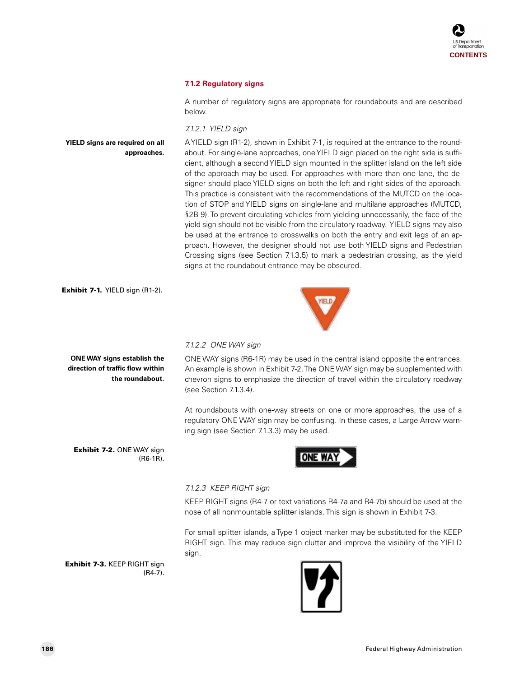

#### **7.1.2 Regulatory signs**

A number of regulatory signs are appropriate for roundabouts and are described below.

#### 7.1.2.1 YIELD sign

#### A YIELD sign (R1-2), shown in Exhibit 7-1, is required at the entrance to the roundabout. For single-lane approaches, one YIELD sign placed on the right side is sufficient, although a second YIELD sign mounted in the splitter island on the left side of the approach may be used. For approaches with more than one lane, the designer should place YIELD signs on both the left and right sides of the approach. This practice is consistent with the recommendations of the MUTCD on the location of STOP and YIELD signs on single-lane and multilane approaches (MUTCD, §2B-9). To prevent circulating vehicles from yielding unnecessarily, the face of the yield sign should not be visible from the circulatory roadway. YIELD signs may also be used at the entrance to crosswalks on both the entry and exit legs of an approach. However, the designer should not use both YIELD signs and Pedestrian Crossing signs (see Section 7.1.3.5) to mark a pedestrian crossing, as the yield signs at the roundabout entrance may be obscured. **YIELD signs are required on all approaches.**

**Exhibit 7-1.** YIELD sign (R1-2).



7.1.2.2 ONE WAY sign

ONE WAY signs (R6-1R) may be used in the central island opposite the entrances. An example is shown in Exhibit 7-2. The ONE WAY sign may be supplemented with chevron signs to emphasize the direction of travel within the circulatory roadway (see Section 7.1.3.4).

At roundabouts with one-way streets on one or more approaches, the use of a regulatory ONE WAY sign may be confusing. In these cases, a Large Arrow warning sign (see Section 7.1.3.3) may be used.

**ONE WA** 

#### 7.1.2.3 KEEP RIGHT sign

KEEP RIGHT signs (R4-7 or text variations R4-7a and R4-7b) should be used at the nose of all nonmountable splitter islands. This sign is shown in Exhibit 7-3.

For small splitter islands, a Type 1 object marker may be substituted for the KEEP RIGHT sign. This may reduce sign clutter and improve the visibility of the YIELD sign.

**Exhibit 7-3.** KEEP RIGHT sign (R4-7).



# **ONE WAY signs establish the direction of traffic flow within the roundabout.**

**Exhibit 7-2.** ONE WAY sign (R6-1R).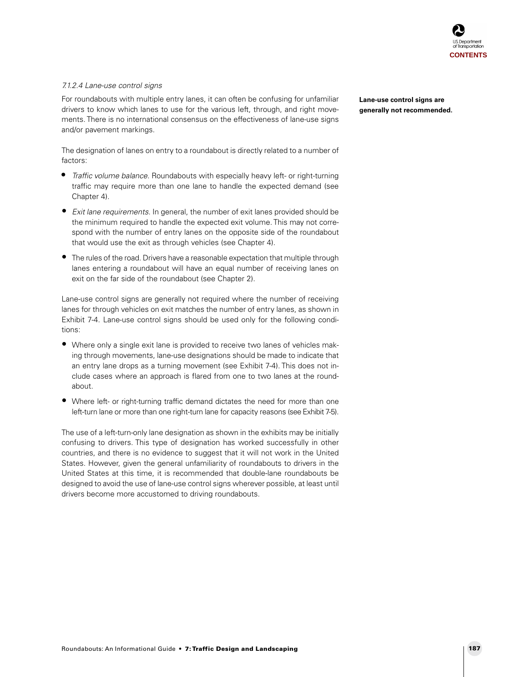

#### 7.1.2.4 Lane-use control signs

For roundabouts with multiple entry lanes, it can often be confusing for unfamiliar drivers to know which lanes to use for the various left, through, and right movements. There is no international consensus on the effectiveness of lane-use signs and/or pavement markings.

The designation of lanes on entry to a roundabout is directly related to a number of factors:

- **•** Traffic volume balance. Roundabouts with especially heavy left- or right-turning traffic may require more than one lane to handle the expected demand (see Chapter 4).
- Exit lane requirements. In general, the number of exit lanes provided should be the minimum required to handle the expected exit volume. This may not correspond with the number of entry lanes on the opposite side of the roundabout that would use the exit as through vehicles (see Chapter 4).
- The rules of the road. Drivers have a reasonable expectation that multiple through lanes entering a roundabout will have an equal number of receiving lanes on exit on the far side of the roundabout (see Chapter 2).

Lane-use control signs are generally not required where the number of receiving lanes for through vehicles on exit matches the number of entry lanes, as shown in Exhibit 7-4. Lane-use control signs should be used only for the following conditions:

- Where only a single exit lane is provided to receive two lanes of vehicles making through movements, lane-use designations should be made to indicate that an entry lane drops as a turning movement (see Exhibit 7-4). This does not include cases where an approach is flared from one to two lanes at the roundabout.
- Where left- or right-turning traffic demand dictates the need for more than one left-turn lane or more than one right-turn lane for capacity reasons (see Exhibit 7-5).

The use of a left-turn-only lane designation as shown in the exhibits may be initially confusing to drivers. This type of designation has worked successfully in other countries, and there is no evidence to suggest that it will not work in the United States. However, given the general unfamiliarity of roundabouts to drivers in the United States at this time, it is recommended that double-lane roundabouts be designed to avoid the use of lane-use control signs wherever possible, at least until drivers become more accustomed to driving roundabouts.

**Lane-use control signs are generally not recommended.**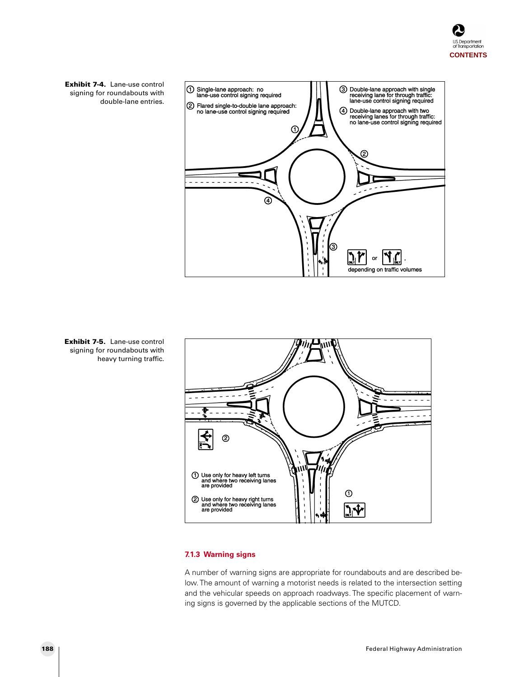

**Exhibit 7-4.** Lane-use control signing for roundabouts with double-lane entries.





### **7.1.3 Warning signs**

A number of warning signs are appropriate for roundabouts and are described below. The amount of warning a motorist needs is related to the intersection setting and the vehicular speeds on approach roadways. The specific placement of warning signs is governed by the applicable sections of the MUTCD.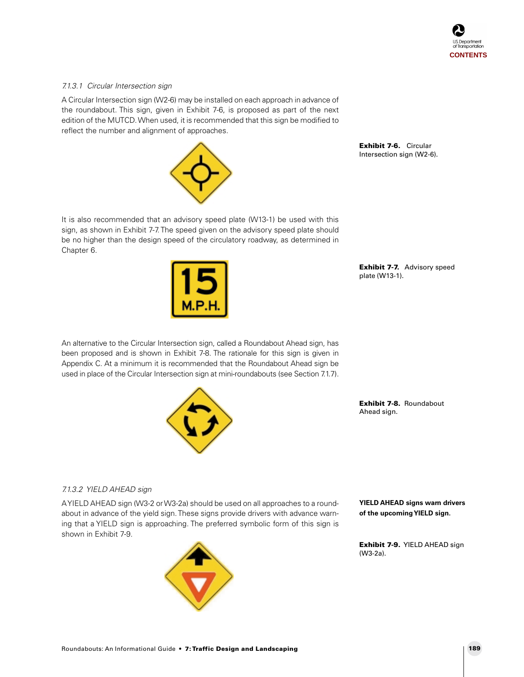

#### 7.1.3.1 Circular Intersection sign

A Circular Intersection sign (W2-6) may be installed on each approach in advance of the roundabout. This sign, given in Exhibit 7-6, is proposed as part of the next edition of the MUTCD. When used, it is recommended that this sign be modified to reflect the number and alignment of approaches.



**Exhibit 7-6.** Circular Intersection sign (W2-6).

**Exhibit 7-7.** Advisory speed

plate (W13-1).

It is also recommended that an advisory speed plate (W13-1) be used with this sign, as shown in Exhibit 7-7. The speed given on the advisory speed plate should be no higher than the design speed of the circulatory roadway, as determined in Chapter 6.



An alternative to the Circular Intersection sign, called a Roundabout Ahead sign, has been proposed and is shown in Exhibit 7-8. The rationale for this sign is given in Appendix C. At a minimum it is recommended that the Roundabout Ahead sign be used in place of the Circular Intersection sign at mini-roundabouts (see Section 7.1.7).



**Exhibit 7-8.** Roundabout Ahead sign.

#### 7.1.3.2 YIELD AHEAD sign

A YIELD AHEAD sign (W3-2 or W3-2a) should be used on all approaches to a roundabout in advance of the yield sign. These signs provide drivers with advance warning that a YIELD sign is approaching. The preferred symbolic form of this sign is shown in Exhibit 7-9.



**YIELD AHEAD signs warn drivers of the upcoming YIELD sign.**

**Exhibit 7-9.** YIELD AHEAD sign (W3-2a).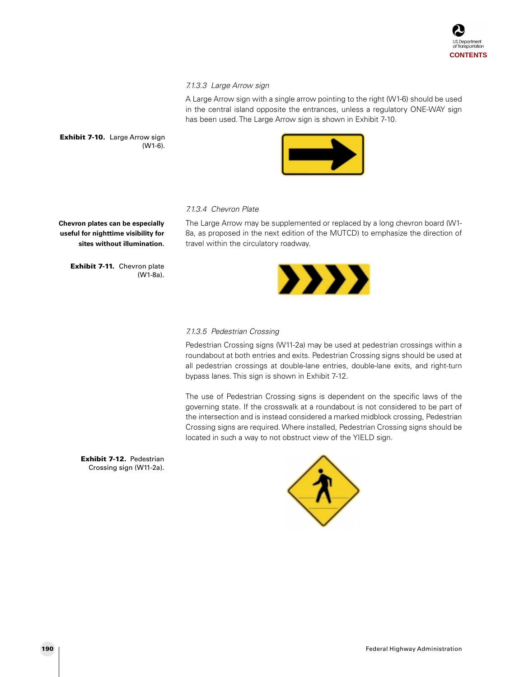

#### 7.1.3.3 Large Arrow sign

A Large Arrow sign with a single arrow pointing to the right (W1-6) should be used in the central island opposite the entrances, unless a regulatory ONE-WAY sign has been used. The Large Arrow sign is shown in Exhibit 7-10.

**Exhibit 7-10.** Large Arrow sign (W1-6).



#### 7.1.3.4 Chevron Plate

**Chevron plates can be especially useful for nighttime visibility for sites without illumination.**

> **Exhibit 7-11.** Chevron plate (W1-8a).





#### 7.1.3.5 Pedestrian Crossing

Pedestrian Crossing signs (W11-2a) may be used at pedestrian crossings within a roundabout at both entries and exits. Pedestrian Crossing signs should be used at all pedestrian crossings at double-lane entries, double-lane exits, and right-turn bypass lanes. This sign is shown in Exhibit 7-12.

The use of Pedestrian Crossing signs is dependent on the specific laws of the governing state. If the crosswalk at a roundabout is not considered to be part of the intersection and is instead considered a marked midblock crossing, Pedestrian Crossing signs are required. Where installed, Pedestrian Crossing signs should be located in such a way to not obstruct view of the YIELD sign.

**Exhibit 7-12.** Pedestrian Crossing sign (W11-2a).

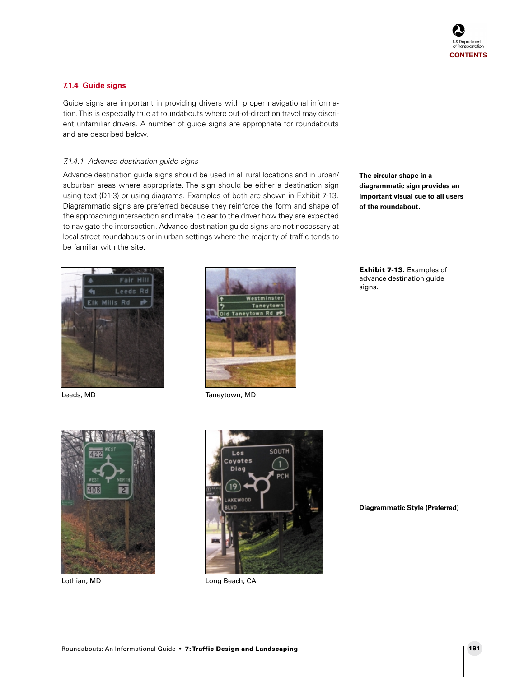#### **7.1.4 Guide signs**

Guide signs are important in providing drivers with proper navigational information. This is especially true at roundabouts where out-of-direction travel may disorient unfamiliar drivers. A number of guide signs are appropriate for roundabouts and are described below.

#### 7.1.4.1 Advance destination guide signs

Advance destination guide signs should be used in all rural locations and in urban/ suburban areas where appropriate. The sign should be either a destination sign using text (D1-3) or using diagrams. Examples of both are shown in Exhibit 7-13. Diagrammatic signs are preferred because they reinforce the form and shape of the approaching intersection and make it clear to the driver how they are expected to navigate the intersection. Advance destination guide signs are not necessary at local street roundabouts or in urban settings where the majority of traffic tends to be familiar with the site.





Leeds, MD Taneytown, MD

Lothian, MD



Long Beach, CA

**The circular shape in a diagrammatic sign provides an important visual cue to all users of the roundabout.**

**Exhibit 7-13.** Examples of advance destination guide signs.

**Diagrammatic Style (Preferred)**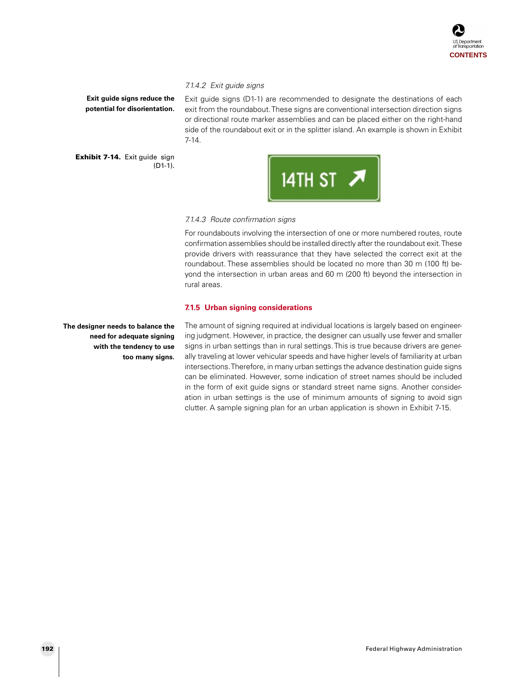

#### 7.1.4.2 Exit guide signs

**Exit guide signs reduce the potential for disorientation.**

Exit guide signs (D1-1) are recommended to designate the destinations of each exit from the roundabout. These signs are conventional intersection direction signs or directional route marker assemblies and can be placed either on the right-hand side of the roundabout exit or in the splitter island. An example is shown in Exhibit 7-14.

**Exhibit 7-14.** Exit guide sign (D1-1).



#### 7.1.4.3 Route confirmation signs

For roundabouts involving the intersection of one or more numbered routes, route confirmation assemblies should be installed directly after the roundabout exit. These provide drivers with reassurance that they have selected the correct exit at the roundabout. These assemblies should be located no more than 30 m (100 ft) beyond the intersection in urban areas and 60 m (200 ft) beyond the intersection in rural areas.

#### **7.1.5 Urban signing considerations**

The amount of signing required at individual locations is largely based on engineering judgment. However, in practice, the designer can usually use fewer and smaller signs in urban settings than in rural settings. This is true because drivers are generally traveling at lower vehicular speeds and have higher levels of familiarity at urban intersections. Therefore, in many urban settings the advance destination guide signs can be eliminated. However, some indication of street names should be included in the form of exit guide signs or standard street name signs. Another consideration in urban settings is the use of minimum amounts of signing to avoid sign clutter. A sample signing plan for an urban application is shown in Exhibit 7-15.

**The designer needs to balance the need for adequate signing with the tendency to use too many signs.**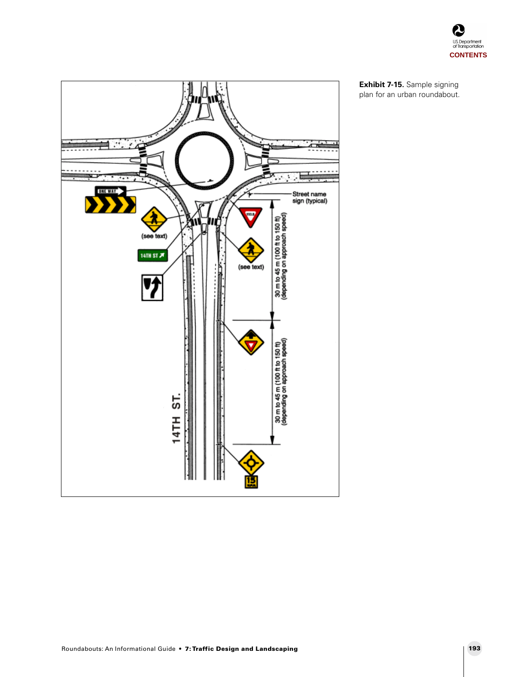



**Exhibit 7-15.** Sample signing plan for an urban roundabout.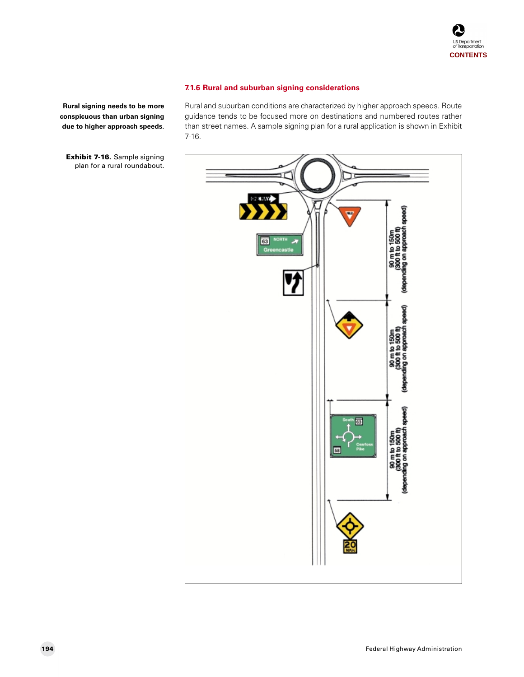

#### **7.1.6 Rural and suburban signing considerations**

**Rural signing needs to be more conspicuous than urban signing due to higher approach speeds.**

**Exhibit 7-16.** Sample signing plan for a rural roundabout. Rural and suburban conditions are characterized by higher approach speeds. Route guidance tends to be focused more on destinations and numbered routes rather than street names. A sample signing plan for a rural application is shown in Exhibit 7-16.

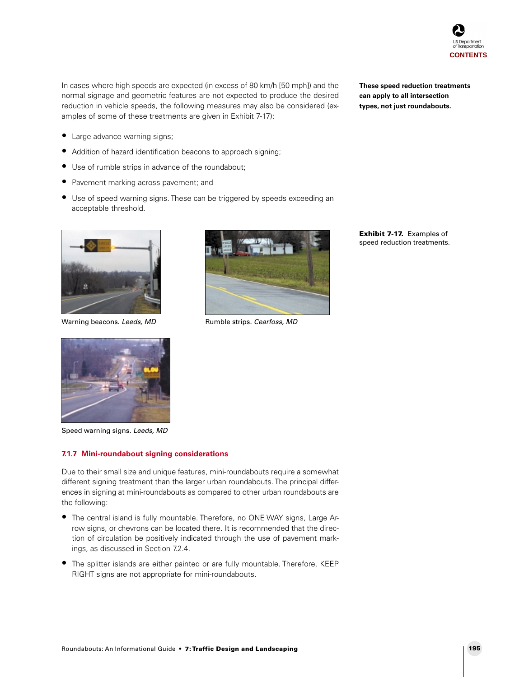

In cases where high speeds are expected (in excess of 80 km/h [50 mph]) and the normal signage and geometric features are not expected to produce the desired reduction in vehicle speeds, the following measures may also be considered (examples of some of these treatments are given in Exhibit 7-17):

- Large advance warning signs;
- Addition of hazard identification beacons to approach signing;
- Use of rumble strips in advance of the roundabout;
- Pavement marking across pavement; and
- Use of speed warning signs. These can be triggered by speeds exceeding an acceptable threshold.



Warning beacons. Leeds, MD Rumble strips. Cearfoss, MD



Speed warning signs. Leeds, MD

#### **7.1.7 Mini-roundabout signing considerations**

Due to their small size and unique features, mini-roundabouts require a somewhat different signing treatment than the larger urban roundabouts. The principal differences in signing at mini-roundabouts as compared to other urban roundabouts are the following:

- The central island is fully mountable. Therefore, no ONE WAY signs, Large Arrow signs, or chevrons can be located there. It is recommended that the direction of circulation be positively indicated through the use of pavement markings, as discussed in Section 7.2.4.
- The splitter islands are either painted or are fully mountable. Therefore, KEEP RIGHT signs are not appropriate for mini-roundabouts.

**These speed reduction treatments can apply to all intersection types, not just roundabouts.**

**Exhibit 7-17.** Examples of speed reduction treatments.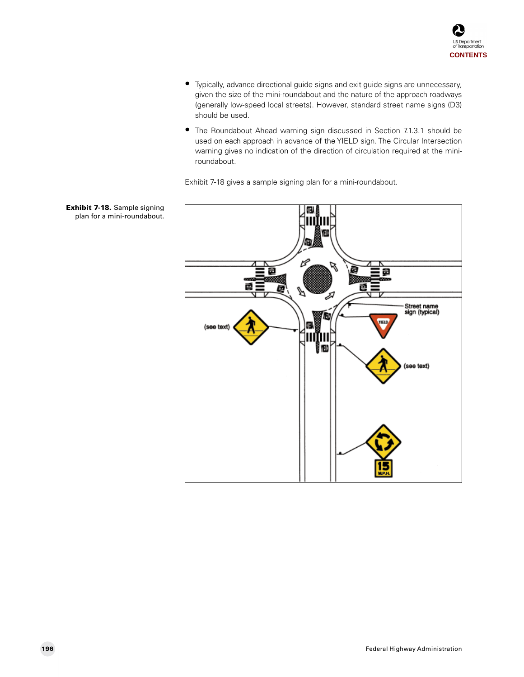- Typically, advance directional guide signs and exit guide signs are unnecessary, given the size of the mini-roundabout and the nature of the approach roadways (generally low-speed local streets). However, standard street name signs (D3) should be used.
- The Roundabout Ahead warning sign discussed in Section 7.1.3.1 should be used on each approach in advance of the YIELD sign. The Circular Intersection warning gives no indication of the direction of circulation required at the miniroundabout.

Exhibit 7-18 gives a sample signing plan for a mini-roundabout.



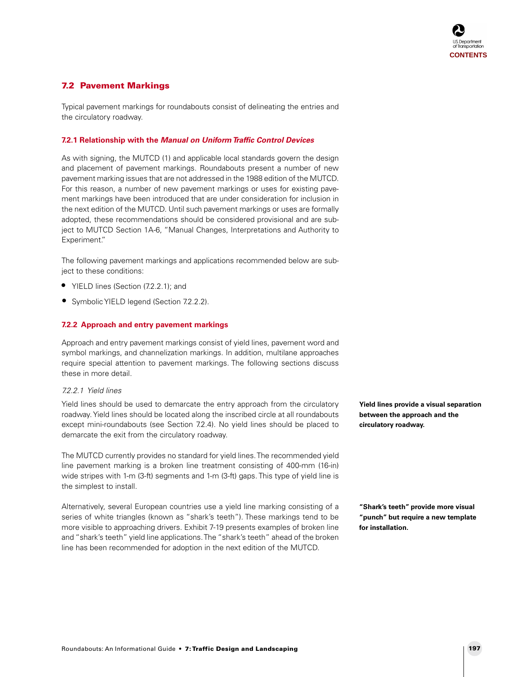# **7.2 Pavement Markings**

Typical pavement markings for roundabouts consist of delineating the entries and the circulatory roadway.

#### **7.2.1 Relationship with the Manual on Uniform Traffic Control Devices**

As with signing, the MUTCD (1) and applicable local standards govern the design and placement of pavement markings. Roundabouts present a number of new pavement marking issues that are not addressed in the 1988 edition of the MUTCD. For this reason, a number of new pavement markings or uses for existing pavement markings have been introduced that are under consideration for inclusion in the next edition of the MUTCD. Until such pavement markings or uses are formally adopted, these recommendations should be considered provisional and are subject to MUTCD Section 1A-6, "Manual Changes, Interpretations and Authority to Experiment."

The following pavement markings and applications recommended below are subject to these conditions:

- YIELD lines (Section (7.2.2.1); and
- Symbolic YIELD legend (Section 7.2.2.2).

#### **7.2.2 Approach and entry pavement markings**

Approach and entry pavement markings consist of yield lines, pavement word and symbol markings, and channelization markings. In addition, multilane approaches require special attention to pavement markings. The following sections discuss these in more detail.

#### 7.2.2.1 Yield lines

Yield lines should be used to demarcate the entry approach from the circulatory roadway. Yield lines should be located along the inscribed circle at all roundabouts except mini-roundabouts (see Section 7.2.4). No yield lines should be placed to demarcate the exit from the circulatory roadway.

The MUTCD currently provides no standard for yield lines. The recommended yield line pavement marking is a broken line treatment consisting of 400-mm (16-in) wide stripes with 1-m (3-ft) segments and 1-m (3-ft) gaps. This type of yield line is the simplest to install.

Alternatively, several European countries use a yield line marking consisting of a series of white triangles (known as "shark's teeth"). These markings tend to be more visible to approaching drivers. Exhibit 7-19 presents examples of broken line and "shark's teeth" yield line applications. The "shark's teeth" ahead of the broken line has been recommended for adoption in the next edition of the MUTCD.

**Yield lines provide a visual separation between the approach and the circulatory roadway.**

**"Shark's teeth" provide more visual "punch" but require a new template for installation.**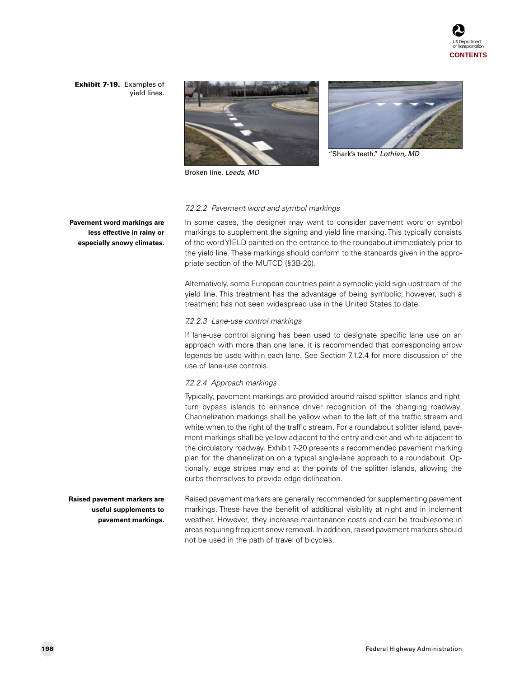

#### **Exhibit 7-19.** Examples of yield lines.





Shark's teeth." Lothian, MD

Broken line. Leeds, MD

#### 7.2.2.2 Pavement word and symbol markings

In some cases, the designer may want to consider pavement word or symbol markings to supplement the signing and yield line marking. This typically consists of the word YIELD painted on the entrance to the roundabout immediately prior to the yield line. These markings should conform to the standards given in the appropriate section of the MUTCD (§3B-20).

Alternatively, some European countries paint a symbolic yield sign upstream of the yield line. This treatment has the advantage of being symbolic; however, such a treatment has not seen widespread use in the United States to date.

#### 7.2.2.3 Lane-use control markings

If lane-use control signing has been used to designate specific lane use on an approach with more than one lane, it is recommended that corresponding arrow legends be used within each lane. See Section 7.1.2.4 for more discussion of the use of lane-use controls.

#### 7.2.2.4 Approach markings

Typically, pavement markings are provided around raised splitter islands and rightturn bypass islands to enhance driver recognition of the changing roadway. Channelization markings shall be yellow when to the left of the traffic stream and white when to the right of the traffic stream. For a roundabout splitter island, pavement markings shall be yellow adjacent to the entry and exit and white adjacent to the circulatory roadway. Exhibit 7-20 presents a recommended pavement marking plan for the channelization on a typical single-lane approach to a roundabout. Optionally, edge stripes may end at the points of the splitter islands, allowing the curbs themselves to provide edge delineation.

Raised pavement markers are generally recommended for supplementing pavement markings. These have the benefit of additional visibility at night and in inclement weather. However, they increase maintenance costs and can be troublesome in areas requiring frequent snow removal. In addition, raised pavement markers should not be used in the path of travel of bicycles. **Raised pavement markers are useful supplements to pavement markings.**

**Pavement word markings are less effective in rainy or especially snowy climates.**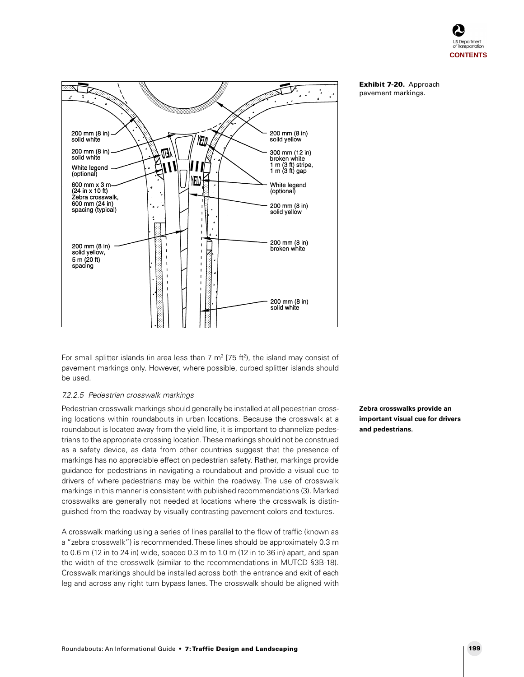



**Exhibit 7-20.** Approach pavement markings.

For small splitter islands (in area less than 7 m² [75 ft²), the island may consist of pavement markings only. However, where possible, curbed splitter islands should be used.

#### 7.2.2.5 Pedestrian crosswalk markings

Pedestrian crosswalk markings should generally be installed at all pedestrian crossing locations within roundabouts in urban locations. Because the crosswalk at a roundabout is located away from the yield line, it is important to channelize pedestrians to the appropriate crossing location. These markings should not be construed as a safety device, as data from other countries suggest that the presence of markings has no appreciable effect on pedestrian safety. Rather, markings provide guidance for pedestrians in navigating a roundabout and provide a visual cue to drivers of where pedestrians may be within the roadway. The use of crosswalk markings in this manner is consistent with published recommendations (3). Marked crosswalks are generally not needed at locations where the crosswalk is distinguished from the roadway by visually contrasting pavement colors and textures.

A crosswalk marking using a series of lines parallel to the flow of traffic (known as a "zebra crosswalk") is recommended. These lines should be approximately 0.3 m to 0.6 m (12 in to 24 in) wide, spaced 0.3 m to 1.0 m (12 in to 36 in) apart, and span the width of the crosswalk (similar to the recommendations in MUTCD §3B-18). Crosswalk markings should be installed across both the entrance and exit of each leg and across any right turn bypass lanes. The crosswalk should be aligned with

**Zebra crosswalks provide an important visual cue for drivers and pedestrians.**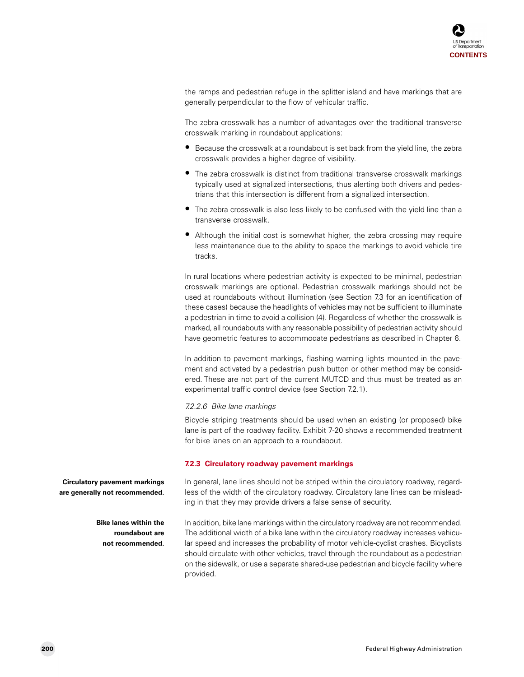the ramps and pedestrian refuge in the splitter island and have markings that are generally perpendicular to the flow of vehicular traffic.

The zebra crosswalk has a number of advantages over the traditional transverse crosswalk marking in roundabout applications:

- Because the crosswalk at a roundabout is set back from the yield line, the zebra crosswalk provides a higher degree of visibility.
- The zebra crosswalk is distinct from traditional transverse crosswalk markings typically used at signalized intersections, thus alerting both drivers and pedestrians that this intersection is different from a signalized intersection.
- The zebra crosswalk is also less likely to be confused with the yield line than a transverse crosswalk.
- Although the initial cost is somewhat higher, the zebra crossing may require less maintenance due to the ability to space the markings to avoid vehicle tire tracks.

In rural locations where pedestrian activity is expected to be minimal, pedestrian crosswalk markings are optional. Pedestrian crosswalk markings should not be used at roundabouts without illumination (see Section 7.3 for an identification of these cases) because the headlights of vehicles may not be sufficient to illuminate a pedestrian in time to avoid a collision (4). Regardless of whether the crosswalk is marked, all roundabouts with any reasonable possibility of pedestrian activity should have geometric features to accommodate pedestrians as described in Chapter 6.

In addition to pavement markings, flashing warning lights mounted in the pavement and activated by a pedestrian push button or other method may be considered. These are not part of the current MUTCD and thus must be treated as an experimental traffic control device (see Section 7.2.1).

#### 7.2.2.6 Bike lane markings

Bicycle striping treatments should be used when an existing (or proposed) bike lane is part of the roadway facility. Exhibit 7-20 shows a recommended treatment for bike lanes on an approach to a roundabout.

#### **7.2.3 Circulatory roadway pavement markings**

In general, lane lines should not be striped within the circulatory roadway, regardless of the width of the circulatory roadway. Circulatory lane lines can be misleading in that they may provide drivers a false sense of security.

In addition, bike lane markings within the circulatory roadway are not recommended. The additional width of a bike lane within the circulatory roadway increases vehicular speed and increases the probability of motor vehicle-cyclist crashes. Bicyclists should circulate with other vehicles, travel through the roundabout as a pedestrian on the sidewalk, or use a separate shared-use pedestrian and bicycle facility where provided.

**Circulatory pavement markings are generally not recommended.**

> **Bike lanes within the roundabout are not recommended.**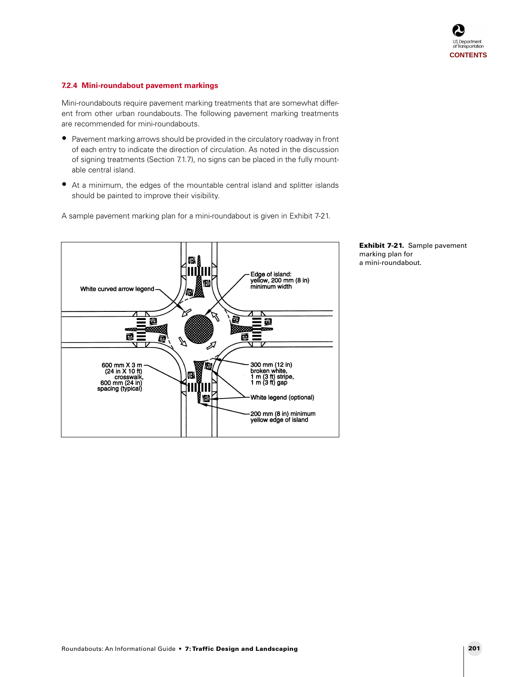#### **7.2.4 Mini-roundabout pavement markings**

Mini-roundabouts require pavement marking treatments that are somewhat different from other urban roundabouts. The following pavement marking treatments are recommended for mini-roundabouts.

- Pavement marking arrows should be provided in the circulatory roadway in front of each entry to indicate the direction of circulation. As noted in the discussion of signing treatments (Section 7.1.7), no signs can be placed in the fully mountable central island.
- At a minimum, the edges of the mountable central island and splitter islands should be painted to improve their visibility.

Œ. Edge of island:<br>yellow, 200 mm (8 in)<br>minimum width ١Ш White curved arrow legend. m 邑 Е 賣 圅  $\mathbb{Z}$ eg<br>D 300 mm (12 in)<br>broken white,<br>1 m (3 ft) stripe,<br>1 m (3 ft) gap 600 mm  $X$  3 m<br>(24 in  $X$  10 ft)<br>crosswalk,<br>600 mm (24 in)<br>spacing (typical) 伽 囮 Ш White legend (optional) YELD -200 mm (8 in) minimum<br>yellow edge of island

A sample pavement marking plan for a mini-roundabout is given in Exhibit 7-21.

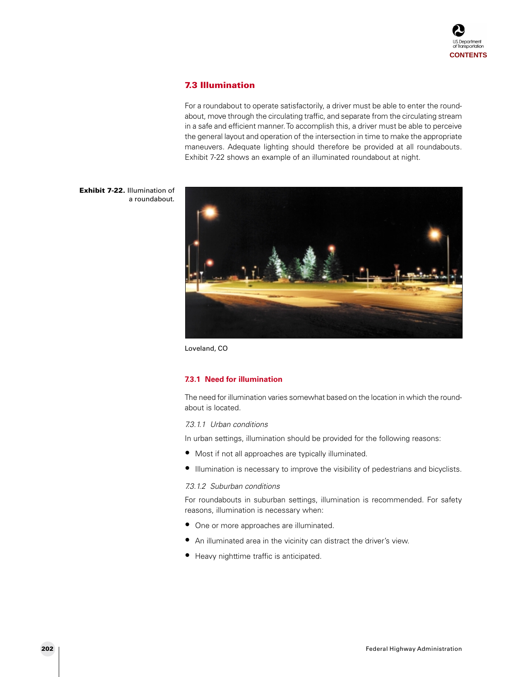

# **7.3 Illumination**

For a roundabout to operate satisfactorily, a driver must be able to enter the roundabout, move through the circulating traffic, and separate from the circulating stream in a safe and efficient manner. To accomplish this, a driver must be able to perceive the general layout and operation of the intersection in time to make the appropriate maneuvers. Adequate lighting should therefore be provided at all roundabouts. Exhibit 7-22 shows an example of an illuminated roundabout at night.

**Exhibit 7-22.** Illumination of a roundabout.



Loveland, CO

#### **7.3.1 Need for illumination**

The need for illumination varies somewhat based on the location in which the roundabout is located.

#### 7.3.1.1 Urban conditions

In urban settings, illumination should be provided for the following reasons:

- Most if not all approaches are typically illuminated.
- Illumination is necessary to improve the visibility of pedestrians and bicyclists.

#### 7.3.1.2 Suburban conditions

For roundabouts in suburban settings, illumination is recommended. For safety reasons, illumination is necessary when:

- One or more approaches are illuminated.
- An illuminated area in the vicinity can distract the driver's view.
- Heavy nighttime traffic is anticipated.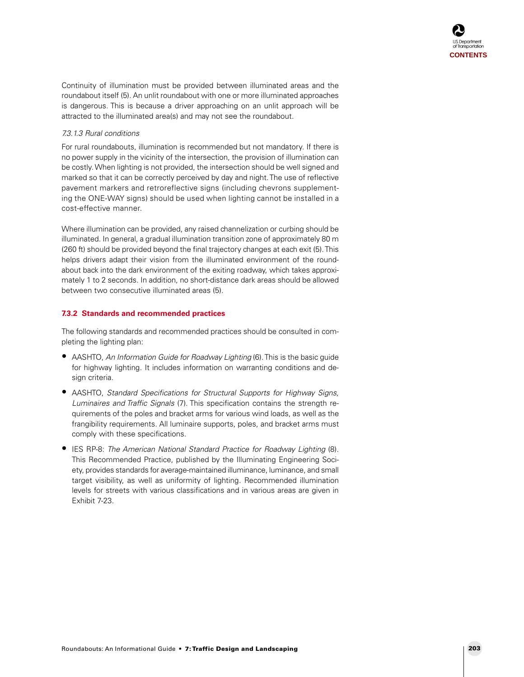Continuity of illumination must be provided between illuminated areas and the roundabout itself (5). An unlit roundabout with one or more illuminated approaches is dangerous. This is because a driver approaching on an unlit approach will be attracted to the illuminated area(s) and may not see the roundabout.

#### 7.3.1.3 Rural conditions

For rural roundabouts, illumination is recommended but not mandatory. If there is no power supply in the vicinity of the intersection, the provision of illumination can be costly. When lighting is not provided, the intersection should be well signed and marked so that it can be correctly perceived by day and night. The use of reflective pavement markers and retroreflective signs (including chevrons supplementing the ONE-WAY signs) should be used when lighting cannot be installed in a cost-effective manner.

Where illumination can be provided, any raised channelization or curbing should be illuminated. In general, a gradual illumination transition zone of approximately 80 m (260 ft) should be provided beyond the final trajectory changes at each exit (5). This helps drivers adapt their vision from the illuminated environment of the roundabout back into the dark environment of the exiting roadway, which takes approximately 1 to 2 seconds. In addition, no short-distance dark areas should be allowed between two consecutive illuminated areas (5).

#### **7.3.2 Standards and recommended practices**

The following standards and recommended practices should be consulted in completing the lighting plan:

- AASHTO, An Information Guide for Roadway Lighting (6). This is the basic guide for highway lighting. It includes information on warranting conditions and design criteria.
- AASHTO, Standard Specifications for Structural Supports for Highway Signs, Luminaires and Traffic Signals (7). This specification contains the strength requirements of the poles and bracket arms for various wind loads, as well as the frangibility requirements. All luminaire supports, poles, and bracket arms must comply with these specifications.
- IES RP-8: The American National Standard Practice for Roadway Lighting (8). This Recommended Practice, published by the Illuminating Engineering Society, provides standards for average-maintained illuminance, luminance, and small target visibility, as well as uniformity of lighting. Recommended illumination levels for streets with various classifications and in various areas are given in Exhibit 7-23.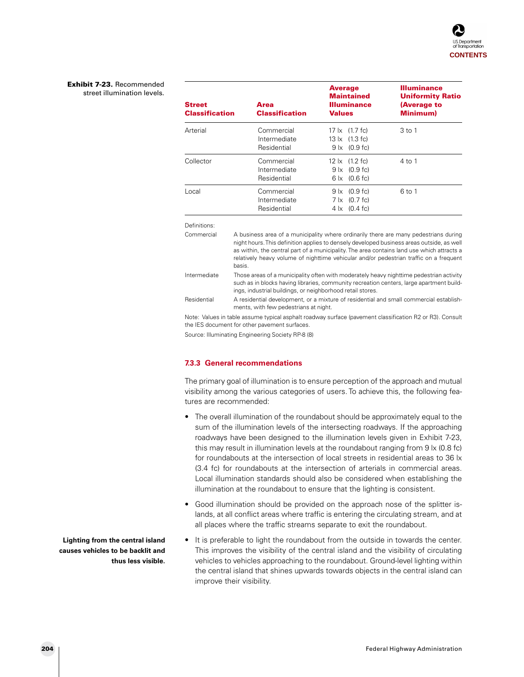#### **Exhibit 7-23.** Recommended street illumination levels.

| <b>Street</b><br><b>Classification</b> | <b>Area</b><br><b>Classification</b>      | <b>Average</b><br><b>Maintained</b><br><b>Illuminance</b><br><b>Values</b>                  | <b>Illuminance</b><br><b>Uniformity Ratio</b><br>(Average to<br><b>Minimum</b> |  |
|----------------------------------------|-------------------------------------------|---------------------------------------------------------------------------------------------|--------------------------------------------------------------------------------|--|
| Arterial                               | Commercial<br>Intermediate<br>Residential | $17 \times (1.7 \text{ fc})$<br>$13 \times (1.3 \text{ fc})$<br>$9 \times (0.9 \text{ fc})$ | $3$ to 1                                                                       |  |
| Collector                              | Commercial<br>Intermediate<br>Residential | $12 \times (1.2 \text{ fc})$<br>$9 \times (0.9 \text{ fc})$<br>$6 \times (0.6 \text{ fc})$  | 4 to 1                                                                         |  |
| Local                                  | Commercial<br>Intermediate<br>Residential | $9 \times (0.9 \text{ fc})$<br>$7 \times (0.7)$ fc)<br>$4 \times (0.4 \text{ fc})$          | 6 to 1                                                                         |  |

Definitions:

| Commercial   | A business area of a municipality where ordinarily there are many pedestrians during<br>night hours. This definition applies to densely developed business areas outside, as well<br>as within, the central part of a municipality. The area contains land use which attracts a<br>relatively heavy volume of nighttime vehicular and/or pedestrian traffic on a frequent<br>basis. |
|--------------|-------------------------------------------------------------------------------------------------------------------------------------------------------------------------------------------------------------------------------------------------------------------------------------------------------------------------------------------------------------------------------------|
| Intermediate | Those areas of a municipality often with moderately heavy nighttime pedestrian activity<br>such as in blocks having libraries, community recreation centers, large apartment build-<br>ings, industrial buildings, or neighborhood retail stores.                                                                                                                                   |
| Residential  | A residential development, or a mixture of residential and small commercial establish-<br>ments, with few pedestrians at night.                                                                                                                                                                                                                                                     |

Note: Values in table assume typical asphalt roadway surface (pavement classification R2 or R3). Consult the IES document for other pavement surfaces.

Source: Illuminating Engineering Society RP-8 (8)

#### **7.3.3 General recommendations**

The primary goal of illumination is to ensure perception of the approach and mutual visibility among the various categories of users. To achieve this, the following features are recommended:

- The overall illumination of the roundabout should be approximately equal to the sum of the illumination levels of the intersecting roadways. If the approaching roadways have been designed to the illumination levels given in Exhibit 7-23, this may result in illumination levels at the roundabout ranging from 9 lx (0.8 fc) for roundabouts at the intersection of local streets in residential areas to 36 lx (3.4 fc) for roundabouts at the intersection of arterials in commercial areas. Local illumination standards should also be considered when establishing the illumination at the roundabout to ensure that the lighting is consistent.
- Good illumination should be provided on the approach nose of the splitter islands, at all conflict areas where traffic is entering the circulating stream, and at all places where the traffic streams separate to exit the roundabout.
- It is preferable to light the roundabout from the outside in towards the center. This improves the visibility of the central island and the visibility of circulating vehicles to vehicles approaching to the roundabout. Ground-level lighting within the central island that shines upwards towards objects in the central island can improve their visibility.

**Lighting from the central island causes vehicles to be backlit and thus less visible.**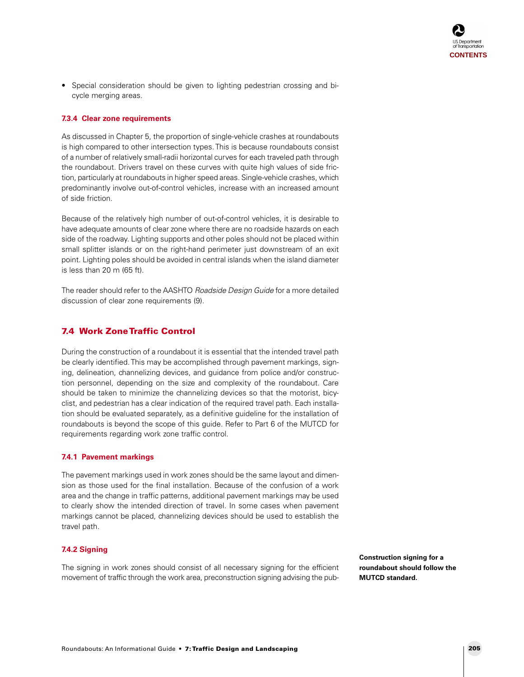• Special consideration should be given to lighting pedestrian crossing and bicycle merging areas.

#### **7.3.4 Clear zone requirements**

As discussed in Chapter 5, the proportion of single-vehicle crashes at roundabouts is high compared to other intersection types. This is because roundabouts consist of a number of relatively small-radii horizontal curves for each traveled path through the roundabout. Drivers travel on these curves with quite high values of side friction, particularly at roundabouts in higher speed areas. Single-vehicle crashes, which predominantly involve out-of-control vehicles, increase with an increased amount of side friction.

Because of the relatively high number of out-of-control vehicles, it is desirable to have adequate amounts of clear zone where there are no roadside hazards on each side of the roadway. Lighting supports and other poles should not be placed within small splitter islands or on the right-hand perimeter just downstream of an exit point. Lighting poles should be avoided in central islands when the island diameter is less than 20 m (65 ft).

The reader should refer to the AASHTO Roadside Design Guide for a more detailed discussion of clear zone requirements (9).

# **7.4 Work Zone Traffic Control**

During the construction of a roundabout it is essential that the intended travel path be clearly identified. This may be accomplished through pavement markings, signing, delineation, channelizing devices, and guidance from police and/or construction personnel, depending on the size and complexity of the roundabout. Care should be taken to minimize the channelizing devices so that the motorist, bicyclist, and pedestrian has a clear indication of the required travel path. Each installation should be evaluated separately, as a definitive guideline for the installation of roundabouts is beyond the scope of this guide. Refer to Part 6 of the MUTCD for requirements regarding work zone traffic control.

#### **7.4.1 Pavement markings**

The pavement markings used in work zones should be the same layout and dimension as those used for the final installation. Because of the confusion of a work area and the change in traffic patterns, additional pavement markings may be used to clearly show the intended direction of travel. In some cases when pavement markings cannot be placed, channelizing devices should be used to establish the travel path.

#### **7.4.2 Signing**

The signing in work zones should consist of all necessary signing for the efficient movement of traffic through the work area, preconstruction signing advising the pub**Construction signing for a roundabout should follow the MUTCD standard.**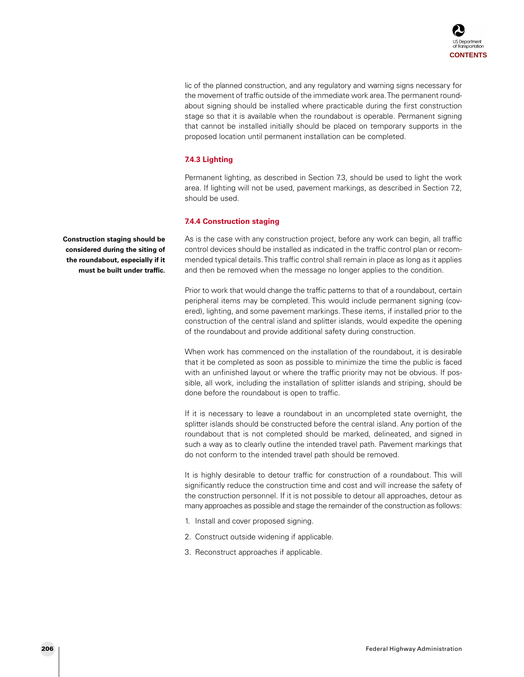

lic of the planned construction, and any regulatory and warning signs necessary for the movement of traffic outside of the immediate work area. The permanent roundabout signing should be installed where practicable during the first construction stage so that it is available when the roundabout is operable. Permanent signing that cannot be installed initially should be placed on temporary supports in the proposed location until permanent installation can be completed.

#### **7.4.3 Lighting**

Permanent lighting, as described in Section 7.3, should be used to light the work area. If lighting will not be used, pavement markings, as described in Section 7.2, should be used.

#### **7.4.4 Construction staging**

As is the case with any construction project, before any work can begin, all traffic control devices should be installed as indicated in the traffic control plan or recommended typical details. This traffic control shall remain in place as long as it applies and then be removed when the message no longer applies to the condition.

Prior to work that would change the traffic patterns to that of a roundabout, certain peripheral items may be completed. This would include permanent signing (covered), lighting, and some pavement markings. These items, if installed prior to the construction of the central island and splitter islands, would expedite the opening of the roundabout and provide additional safety during construction.

When work has commenced on the installation of the roundabout, it is desirable that it be completed as soon as possible to minimize the time the public is faced with an unfinished layout or where the traffic priority may not be obvious. If possible, all work, including the installation of splitter islands and striping, should be done before the roundabout is open to traffic.

If it is necessary to leave a roundabout in an uncompleted state overnight, the splitter islands should be constructed before the central island. Any portion of the roundabout that is not completed should be marked, delineated, and signed in such a way as to clearly outline the intended travel path. Pavement markings that do not conform to the intended travel path should be removed.

It is highly desirable to detour traffic for construction of a roundabout. This will significantly reduce the construction time and cost and will increase the safety of the construction personnel. If it is not possible to detour all approaches, detour as many approaches as possible and stage the remainder of the construction as follows:

- 1. Install and cover proposed signing.
- 2. Construct outside widening if applicable.
- 3. Reconstruct approaches if applicable.

**Construction staging should be considered during the siting of the roundabout, especially if it must be built under traffic.**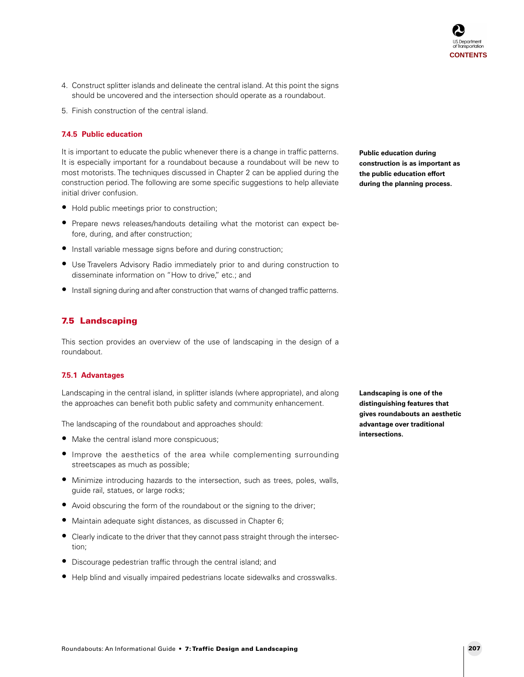- 4. Construct splitter islands and delineate the central island. At this point the signs should be uncovered and the intersection should operate as a roundabout.
- 5. Finish construction of the central island.

#### **7.4.5 Public education**

It is important to educate the public whenever there is a change in traffic patterns. It is especially important for a roundabout because a roundabout will be new to most motorists. The techniques discussed in Chapter 2 can be applied during the construction period. The following are some specific suggestions to help alleviate initial driver confusion.

- Hold public meetings prior to construction;
- Prepare news releases/handouts detailing what the motorist can expect before, during, and after construction;
- Install variable message signs before and during construction;
- Use Travelers Advisory Radio immediately prior to and during construction to disseminate information on "How to drive," etc.; and
- Install signing during and after construction that warns of changed traffic patterns.

#### **7.5 Landscaping**

This section provides an overview of the use of landscaping in the design of a roundabout.

#### **7.5.1 Advantages**

Landscaping in the central island, in splitter islands (where appropriate), and along the approaches can benefit both public safety and community enhancement.

The landscaping of the roundabout and approaches should:

- Make the central island more conspicuous;
- Improve the aesthetics of the area while complementing surrounding streetscapes as much as possible;
- Minimize introducing hazards to the intersection, such as trees, poles, walls, guide rail, statues, or large rocks;
- Avoid obscuring the form of the roundabout or the signing to the driver;
- Maintain adequate sight distances, as discussed in Chapter 6;
- Clearly indicate to the driver that they cannot pass straight through the intersection;
- Discourage pedestrian traffic through the central island; and
- Help blind and visually impaired pedestrians locate sidewalks and crosswalks.

**Public education during construction is as important as the public education effort during the planning process.**

**Landscaping is one of the distinguishing features that gives roundabouts an aesthetic advantage over traditional intersections.**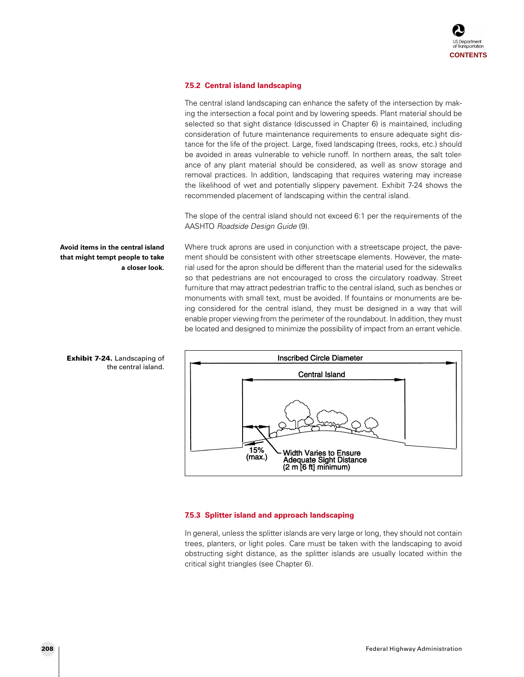#### **7.5.2 Central island landscaping**

The central island landscaping can enhance the safety of the intersection by making the intersection a focal point and by lowering speeds. Plant material should be selected so that sight distance (discussed in Chapter 6) is maintained, including consideration of future maintenance requirements to ensure adequate sight distance for the life of the project. Large, fixed landscaping (trees, rocks, etc.) should be avoided in areas vulnerable to vehicle runoff. In northern areas, the salt tolerance of any plant material should be considered, as well as snow storage and removal practices. In addition, landscaping that requires watering may increase the likelihood of wet and potentially slippery pavement. Exhibit 7-24 shows the recommended placement of landscaping within the central island.

The slope of the central island should not exceed 6:1 per the requirements of the AASHTO Roadside Design Guide (9).

Where truck aprons are used in conjunction with a streetscape project, the pavement should be consistent with other streetscape elements. However, the material used for the apron should be different than the material used for the sidewalks so that pedestrians are not encouraged to cross the circulatory roadway. Street furniture that may attract pedestrian traffic to the central island, such as benches or monuments with small text, must be avoided. If fountains or monuments are being considered for the central island, they must be designed in a way that will enable proper viewing from the perimeter of the roundabout. In addition, they must be located and designed to minimize the possibility of impact from an errant vehicle.



**Exhibit 7-24.** Landscaping of the central island.

**Avoid items in the central island that might tempt people to take**

**a closer look.**

#### **7.5.3 Splitter island and approach landscaping**

In general, unless the splitter islands are very large or long, they should not contain trees, planters, or light poles. Care must be taken with the landscaping to avoid obstructing sight distance, as the splitter islands are usually located within the critical sight triangles (see Chapter 6).